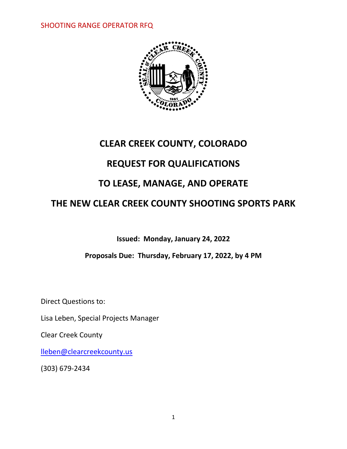

# **CLEAR CREEK COUNTY, COLORADO**

# **REQUEST FOR QUALIFICATIONS**

# **TO LEASE, MANAGE, AND OPERATE**

# **THE NEW CLEAR CREEK COUNTY SHOOTING SPORTS PARK**

**Issued: Monday, January 24, 2022**

**Proposals Due: Thursday, February 17, 2022, by 4 PM**

Direct Questions to:

Lisa Leben, Special Projects Manager

Clear Creek County

[lleben@clearcreekcounty.us](mailto:lleben@clearcreekcounty.us)

(303) 679-2434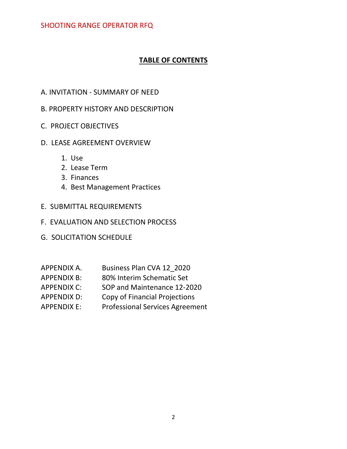## **TABLE OF CONTENTS**

- A. INVITATION SUMMARY OF NEED
- B. PROPERTY HISTORY AND DESCRIPTION
- C. PROJECT OBJECTIVES
- D. LEASE AGREEMENT OVERVIEW
	- 1. Use
	- 2. Lease Term
	- 3. Finances
	- 4. Best Management Practices
- E. SUBMITTAL REQUIREMENTS
- F. EVALUATION AND SELECTION PROCESS
- G. SOLICITATION SCHEDULE
- APPENDIX A. Business Plan CVA 12\_2020
- APPENDIX B: 80% Interim Schematic Set
- APPENDIX C: SOP and Maintenance 12-2020
- APPENDIX D: Copy of Financial Projections
- APPENDIX E: Professional Services Agreement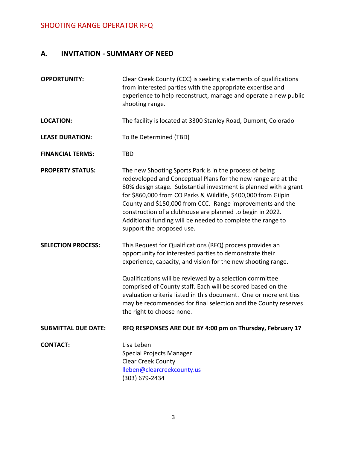# **A. INVITATION - SUMMARY OF NEED**

| shooting range.                                                                                                                                                                                                                                                                                                                                                                                                                                                                     |
|-------------------------------------------------------------------------------------------------------------------------------------------------------------------------------------------------------------------------------------------------------------------------------------------------------------------------------------------------------------------------------------------------------------------------------------------------------------------------------------|
| The facility is located at 3300 Stanley Road, Dumont, Colorado                                                                                                                                                                                                                                                                                                                                                                                                                      |
| To Be Determined (TBD)                                                                                                                                                                                                                                                                                                                                                                                                                                                              |
| <b>TBD</b>                                                                                                                                                                                                                                                                                                                                                                                                                                                                          |
| The new Shooting Sports Park is in the process of being<br>redeveloped and Conceptual Plans for the new range are at the<br>80% design stage. Substantial investment is planned with a grant<br>for \$860,000 from CO Parks & Wildlife, \$400,000 from Gilpin<br>County and \$150,000 from CCC. Range improvements and the<br>construction of a clubhouse are planned to begin in 2022.<br>Additional funding will be needed to complete the range to<br>support the proposed use.  |
| This Request for Qualifications (RFQ) process provides an<br>opportunity for interested parties to demonstrate their<br>experience, capacity, and vision for the new shooting range.<br>Qualifications will be reviewed by a selection committee<br>comprised of County staff. Each will be scored based on the<br>evaluation criteria listed in this document. One or more entities<br>may be recommended for final selection and the County reserves<br>the right to choose none. |
|                                                                                                                                                                                                                                                                                                                                                                                                                                                                                     |
| RFQ RESPONSES ARE DUE BY 4:00 pm on Thursday, February 17                                                                                                                                                                                                                                                                                                                                                                                                                           |
|                                                                                                                                                                                                                                                                                                                                                                                                                                                                                     |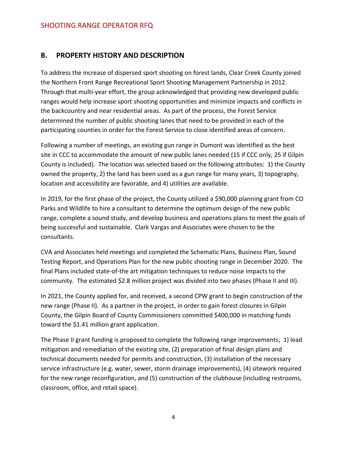#### **B. PROPERTY HISTORY AND DESCRIPTION**

To address the increase of dispersed sport shooting on forest lands, Clear Creek County joined the Northern Front Range Recreational Sport Shooting Management Partnership in 2012. Through that multi-year effort, the group acknowledged that providing new developed public ranges would help increase sport shooting opportunities and minimize impacts and conflicts in the backcountry and near residential areas. As part of the process, the Forest Service determined the number of public shooting lanes that need to be provided in each of the participating counties in order for the Forest Service to close identified areas of concern.

Following a number of meetings, an existing gun range in Dumont was identified as the best site in CCC to accommodate the amount of new public lanes needed (15 if CCC only, 25 if Gilpin County is included). The location was selected based on the following attributes: 1) the County owned the property, 2) the land has been used as a gun range for many years, 3) topography, location and accessibility are favorable, and 4) utilities are available.

In 2019, for the first phase of the project, the County utilized a \$90,000 planning grant from CO Parks and Wildlife to hire a consultant to determine the optimum design of the new public range, complete a sound study, and develop business and operations plans to meet the goals of being successful and sustainable. Clark Vargas and Associates were chosen to be the consultants.

CVA and Associates held meetings and completed the Schematic Plans, Business Plan, Sound Testing Report, and Operations Plan for the new public shooting range in December 2020. The final Plans included state-of-the art mitigation techniques to reduce noise impacts to the community. The estimated \$2.8 million project was divided into two phases (Phase II and III).

In 2021, the County applied for, and received, a second CPW grant to begin construction of the new range (Phase II). As a partner in the project, in order to gain forest closures in Gilpin County, the Gilpin Board of County Commissioners committed \$400,000 in matching funds toward the \$1.41 million grant application.

The Phase II grant funding is proposed to complete the following range improvements; 1) lead mitigation and remediation of the existing site, (2) preparation of final design plans and technical documents needed for permits and construction, (3) installation of the necessary service infrastructure (e.g. water, sewer, storm drainage improvements), (4) sitework required for the new range reconfiguration, and (5) construction of the clubhouse (including restrooms, classroom, office, and retail space).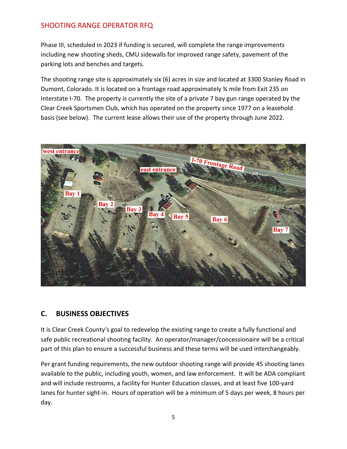Phase III, scheduled in 2023 if funding is secured, will complete the range improvements including new shooting sheds, CMU sidewalls for improved range safety, pavement of the parking lots and benches and targets.

The shooting range site is approximately six (6) acres in size and located at 3300 Stanley Road in Dumont, Colorado. It is located on a frontage road approximately ¾ mile from Exit 235 on Interstate I-70. The property is currently the site of a private 7 bay gun range operated by the Clear Creek Sportsmen Club, which has operated on the property since 1977 on a leasehold basis (see below). The current lease allows their use of the property through June 2022.



#### **C. BUSINESS OBJECTIVES**

It is Clear Creek County's goal to redevelop the existing range to create a fully functional and safe public recreational shooting facility. An operator/manager/concessionaire will be a critical part of this plan to ensure a successful business and these terms will be used interchangeably.

Per grant funding requirements, the new outdoor shooting range will provide 45 shooting lanes available to the public, including youth, women, and law enforcement. It will be ADA compliant and will include restrooms, a facility for Hunter Education classes, and at least five 100-yard lanes for hunter sight-in. Hours of operation will be a minimum of 5 days per week, 8 hours per day.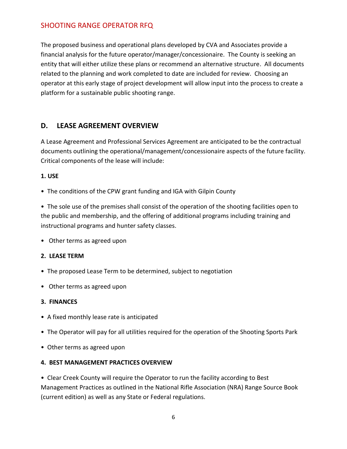The proposed business and operational plans developed by CVA and Associates provide a financial analysis for the future operator/manager/concessionaire. The County is seeking an entity that will either utilize these plans or recommend an alternative structure. All documents related to the planning and work completed to date are included for review. Choosing an operator at this early stage of project development will allow input into the process to create a platform for a sustainable public shooting range.

### **D. LEASE AGREEMENT OVERVIEW**

A Lease Agreement and Professional Services Agreement are anticipated to be the contractual documents outlining the operational/management/concessionaire aspects of the future facility. Critical components of the lease will include:

#### **1. USE**

• The conditions of the CPW grant funding and IGA with Gilpin County

• The sole use of the premises shall consist of the operation of the shooting facilities open to the public and membership, and the offering of additional programs including training and instructional programs and hunter safety classes.

• Other terms as agreed upon

#### **2. LEASE TERM**

- The proposed Lease Term to be determined, subject to negotiation
- Other terms as agreed upon

#### **3. FINANCES**

- A fixed monthly lease rate is anticipated
- The Operator will pay for all utilities required for the operation of the Shooting Sports Park
- Other terms as agreed upon

#### **4. BEST MANAGEMENT PRACTICES OVERVIEW**

• Clear Creek County will require the Operator to run the facility according to Best Management Practices as outlined in the National Rifle Association (NRA) Range Source Book (current edition) as well as any State or Federal regulations.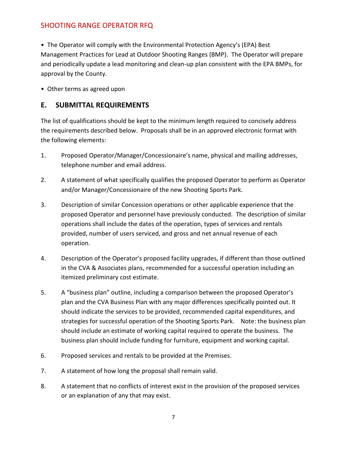• The Operator will comply with the Environmental Protection Agency's (EPA) Best Management Practices for Lead at Outdoor Shooting Ranges (BMP). The Operator will prepare and periodically update a lead monitoring and clean-up plan consistent with the EPA BMPs, for approval by the County.

• Other terms as agreed upon

### **E. SUBMITTAL REQUIREMENTS**

The list of qualifications should be kept to the minimum length required to concisely address the requirements described below. Proposals shall be in an approved electronic format with the following elements:

- 1. Proposed Operator/Manager/Concessionaire's name, physical and mailing addresses, telephone number and email address.
- 2. A statement of what specifically qualifies the proposed Operator to perform as Operator and/or Manager/Concessionaire of the new Shooting Sports Park.
- 3. Description of similar Concession operations or other applicable experience that the proposed Operator and personnel have previously conducted. The description of similar operations shall include the dates of the operation, types of services and rentals provided, number of users serviced, and gross and net annual revenue of each operation.
- 4. Description of the Operator's proposed facility upgrades, if different than those outlined in the CVA & Associates plans, recommended for a successful operation including an itemized preliminary cost estimate.
- 5. A "business plan" outline, including a comparison between the proposed Operator's plan and the CVA Business Plan with any major differences specifically pointed out. It should indicate the services to be provided, recommended capital expenditures, and strategies for successful operation of the Shooting Sports Park. Note: the business plan should include an estimate of working capital required to operate the business. The business plan should include funding for furniture, equipment and working capital.
- 6. Proposed services and rentals to be provided at the Premises.
- 7. A statement of how long the proposal shall remain valid.
- 8. A statement that no conflicts of interest exist in the provision of the proposed services or an explanation of any that may exist.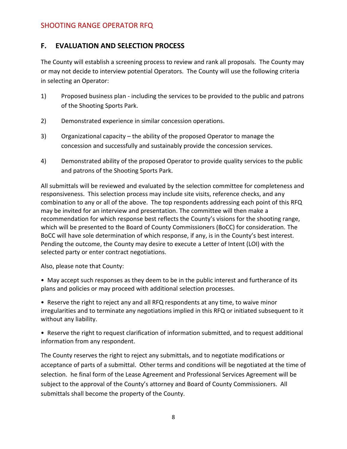### **F. EVALUATION AND SELECTION PROCESS**

The County will establish a screening process to review and rank all proposals. The County may or may not decide to interview potential Operators. The County will use the following criteria in selecting an Operator:

- 1) Proposed business plan including the services to be provided to the public and patrons of the Shooting Sports Park.
- 2) Demonstrated experience in similar concession operations.
- 3) Organizational capacity the ability of the proposed Operator to manage the concession and successfully and sustainably provide the concession services.
- 4) Demonstrated ability of the proposed Operator to provide quality services to the public and patrons of the Shooting Sports Park.

All submittals will be reviewed and evaluated by the selection committee for completeness and responsiveness. This selection process may include site visits, reference checks, and any combination to any or all of the above. The top respondents addressing each point of this RFQ may be invited for an interview and presentation. The committee will then make a recommendation for which response best reflects the County's visions for the shooting range, which will be presented to the Board of County Commissioners (BoCC) for consideration. The BoCC will have sole determination of which response, if any, is in the County's best interest. Pending the outcome, the County may desire to execute a Letter of Intent (LOI) with the selected party or enter contract negotiations.

Also, please note that County:

• May accept such responses as they deem to be in the public interest and furtherance of its plans and policies or may proceed with additional selection processes.

• Reserve the right to reject any and all RFQ respondents at any time, to waive minor irregularities and to terminate any negotiations implied in this RFQ or initiated subsequent to it without any liability.

• Reserve the right to request clarification of information submitted, and to request additional information from any respondent.

The County reserves the right to reject any submittals, and to negotiate modifications or acceptance of parts of a submittal. Other terms and conditions will be negotiated at the time of selection. he final form of the Lease Agreement and Professional Services Agreement will be subject to the approval of the County's attorney and Board of County Commissioners. All submittals shall become the property of the County.